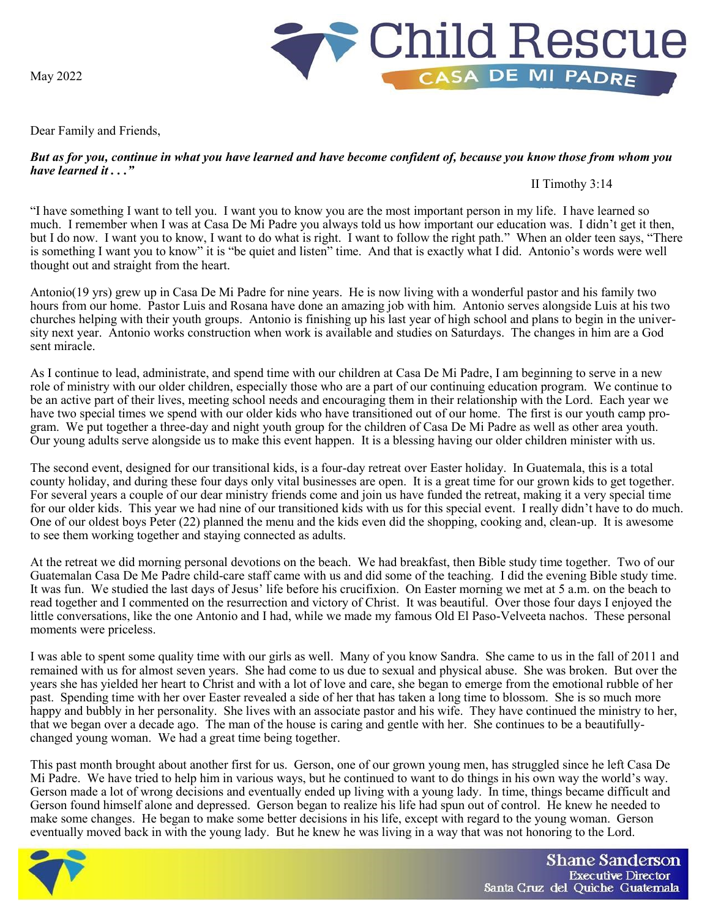May 2022



Dear Family and Friends,

## *But as for you, continue in what you have learned and have become confident of, because you know those from whom you have learned it . . ."*

II Timothy 3:14

"I have something I want to tell you. I want you to know you are the most important person in my life. I have learned so much. I remember when I was at Casa De Mi Padre you always told us how important our education was. I didn't get it then, but I do now. I want you to know, I want to do what is right. I want to follow the right path." When an older teen says, "There is something I want you to know" it is "be quiet and listen" time. And that is exactly what I did. Antonio's words were well thought out and straight from the heart.

Antonio(19 yrs) grew up in Casa De Mi Padre for nine years. He is now living with a wonderful pastor and his family two hours from our home. Pastor Luis and Rosana have done an amazing job with him. Antonio serves alongside Luis at his two churches helping with their youth groups. Antonio is finishing up his last year of high school and plans to begin in the university next year. Antonio works construction when work is available and studies on Saturdays. The changes in him are a God sent miracle.

As I continue to lead, administrate, and spend time with our children at Casa De Mi Padre, I am beginning to serve in a new role of ministry with our older children, especially those who are a part of our continuing education program. We continue to be an active part of their lives, meeting school needs and encouraging them in their relationship with the Lord. Each year we have two special times we spend with our older kids who have transitioned out of our home. The first is our youth camp program. We put together a three-day and night youth group for the children of Casa De Mi Padre as well as other area youth. Our young adults serve alongside us to make this event happen. It is a blessing having our older children minister with us.

The second event, designed for our transitional kids, is a four-day retreat over Easter holiday. In Guatemala, this is a total county holiday, and during these four days only vital businesses are open. It is a great time for our grown kids to get together. For several years a couple of our dear ministry friends come and join us have funded the retreat, making it a very special time for our older kids. This year we had nine of our transitioned kids with us for this special event. I really didn't have to do much. One of our oldest boys Peter (22) planned the menu and the kids even did the shopping, cooking and, clean-up. It is awesome to see them working together and staying connected as adults.

At the retreat we did morning personal devotions on the beach. We had breakfast, then Bible study time together. Two of our Guatemalan Casa De Me Padre child-care staff came with us and did some of the teaching. I did the evening Bible study time. It was fun. We studied the last days of Jesus' life before his crucifixion. On Easter morning we met at 5 a.m. on the beach to read together and I commented on the resurrection and victory of Christ. It was beautiful. Over those four days I enjoyed the little conversations, like the one Antonio and I had, while we made my famous Old El Paso-Velveeta nachos. These personal moments were priceless.

I was able to spent some quality time with our girls as well. Many of you know Sandra. She came to us in the fall of 2011 and remained with us for almost seven years. She had come to us due to sexual and physical abuse. She was broken. But over the years she has yielded her heart to Christ and with a lot of love and care, she began to emerge from the emotional rubble of her past. Spending time with her over Easter revealed a side of her that has taken a long time to blossom. She is so much more happy and bubbly in her personality. She lives with an associate pastor and his wife. They have continued the ministry to her, that we began over a decade ago. The man of the house is caring and gentle with her. She continues to be a beautifullychanged young woman. We had a great time being together.

This past month brought about another first for us. Gerson, one of our grown young men, has struggled since he left Casa De Mi Padre. We have tried to help him in various ways, but he continued to want to do things in his own way the world's way. Gerson made a lot of wrong decisions and eventually ended up living with a young lady. In time, things became difficult and Gerson found himself alone and depressed. Gerson began to realize his life had spun out of control. He knew he needed to make some changes. He began to make some better decisions in his life, except with regard to the young woman. Gerson eventually moved back in with the young lady. But he knew he was living in a way that was not honoring to the Lord.